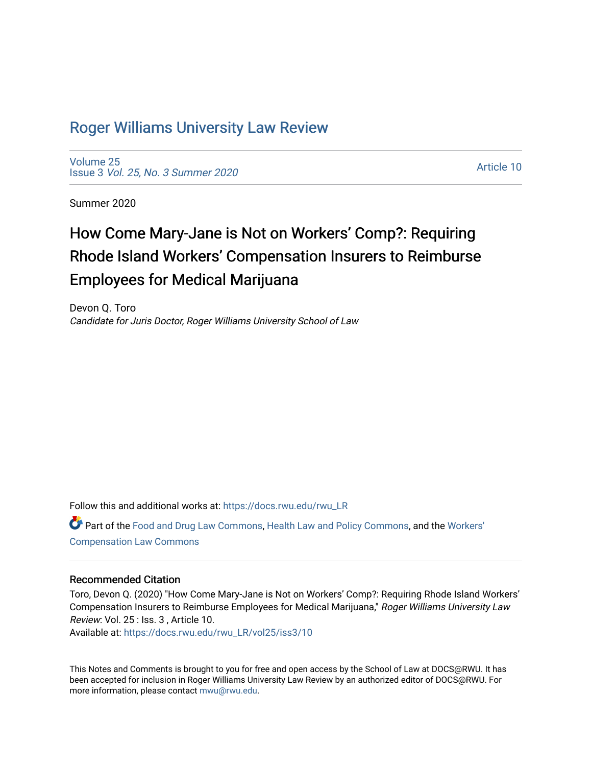## [Roger Williams University Law Review](https://docs.rwu.edu/rwu_LR)

[Volume 25](https://docs.rwu.edu/rwu_LR/vol25) Issue 3 [Vol. 25, No. 3 Summer 2020](https://docs.rwu.edu/rwu_LR/vol25/iss3) 

[Article 10](https://docs.rwu.edu/rwu_LR/vol25/iss3/10) 

Summer 2020

# How Come Mary-Jane is Not on Workers' Comp?: Requiring Rhode Island Workers' Compensation Insurers to Reimburse Employees for Medical Marijuana

Devon Q. Toro Candidate for Juris Doctor, Roger Williams University School of Law

Follow this and additional works at: [https://docs.rwu.edu/rwu\\_LR](https://docs.rwu.edu/rwu_LR?utm_source=docs.rwu.edu%2Frwu_LR%2Fvol25%2Fiss3%2F10&utm_medium=PDF&utm_campaign=PDFCoverPages) 

Part of the [Food and Drug Law Commons,](http://network.bepress.com/hgg/discipline/844?utm_source=docs.rwu.edu%2Frwu_LR%2Fvol25%2Fiss3%2F10&utm_medium=PDF&utm_campaign=PDFCoverPages) [Health Law and Policy Commons,](http://network.bepress.com/hgg/discipline/901?utm_source=docs.rwu.edu%2Frwu_LR%2Fvol25%2Fiss3%2F10&utm_medium=PDF&utm_campaign=PDFCoverPages) and the [Workers'](http://network.bepress.com/hgg/discipline/889?utm_source=docs.rwu.edu%2Frwu_LR%2Fvol25%2Fiss3%2F10&utm_medium=PDF&utm_campaign=PDFCoverPages) [Compensation Law Commons](http://network.bepress.com/hgg/discipline/889?utm_source=docs.rwu.edu%2Frwu_LR%2Fvol25%2Fiss3%2F10&utm_medium=PDF&utm_campaign=PDFCoverPages)

## Recommended Citation

Toro, Devon Q. (2020) "How Come Mary-Jane is Not on Workers' Comp?: Requiring Rhode Island Workers' Compensation Insurers to Reimburse Employees for Medical Marijuana," Roger Williams University Law Review: Vol. 25 : Iss. 3 , Article 10.

Available at: [https://docs.rwu.edu/rwu\\_LR/vol25/iss3/10](https://docs.rwu.edu/rwu_LR/vol25/iss3/10?utm_source=docs.rwu.edu%2Frwu_LR%2Fvol25%2Fiss3%2F10&utm_medium=PDF&utm_campaign=PDFCoverPages)

This Notes and Comments is brought to you for free and open access by the School of Law at DOCS@RWU. It has been accepted for inclusion in Roger Williams University Law Review by an authorized editor of DOCS@RWU. For more information, please contact [mwu@rwu.edu](mailto:mwu@rwu.edu).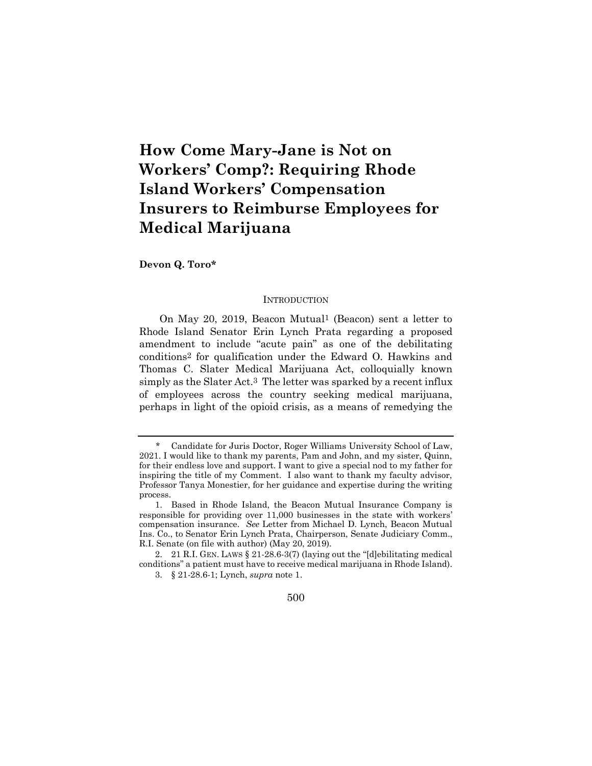## **How Come Mary-Jane is Not on Workers' Comp?: Requiring Rhode Island Workers' Compensation Insurers to Reimburse Employees for Medical Marijuana**

**Devon Q. Toro\***

#### **INTRODUCTION**

On May 20, 2019, Beacon Mutual1 (Beacon) sent a letter to Rhode Island Senator Erin Lynch Prata regarding a proposed amendment to include "acute pain" as one of the debilitating conditions2 for qualification under the Edward O. Hawkins and Thomas C. Slater Medical Marijuana Act, colloquially known simply as the Slater Act.3 The letter was sparked by a recent influx of employees across the country seeking medical marijuana, perhaps in light of the opioid crisis, as a means of remedying the

<sup>\*</sup> Candidate for Juris Doctor, Roger Williams University School of Law, 2021. I would like to thank my parents, Pam and John, and my sister, Quinn, for their endless love and support. I want to give a special nod to my father for inspiring the title of my Comment. I also want to thank my faculty advisor, Professor Tanya Monestier, for her guidance and expertise during the writing process.

<sup>1.</sup> Based in Rhode Island, the Beacon Mutual Insurance Company is responsible for providing over 11,000 businesses in the state with workers' compensation insurance. *See* Letter from Michael D. Lynch, Beacon Mutual Ins. Co., to Senator Erin Lynch Prata, Chairperson, Senate Judiciary Comm., R.I. Senate (on file with author) (May 20, 2019).

<sup>2.</sup> 21 R.I. GEN. LAWS § 21-28.6-3(7) (laying out the "[d]ebilitating medical conditions" a patient must have to receive medical marijuana in Rhode Island).

<sup>3.</sup> § 21-28.6-1; Lynch, *supra* note 1.

<sup>500</sup>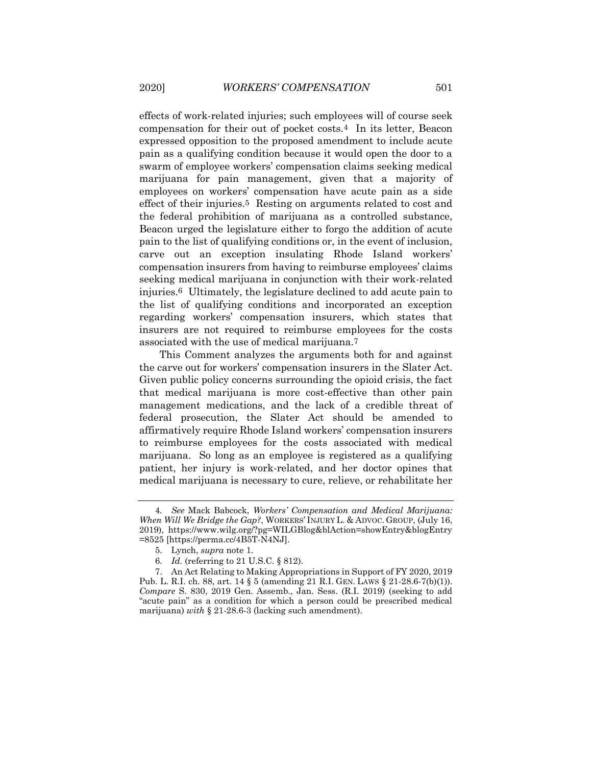effects of work-related injuries; such employees will of course seek compensation for their out of pocket costs.4 In its letter, Beacon expressed opposition to the proposed amendment to include acute pain as a qualifying condition because it would open the door to a swarm of employee workers' compensation claims seeking medical marijuana for pain management, given that a majority of employees on workers' compensation have acute pain as a side effect of their injuries.5 Resting on arguments related to cost and the federal prohibition of marijuana as a controlled substance, Beacon urged the legislature either to forgo the addition of acute pain to the list of qualifying conditions or, in the event of inclusion, carve out an exception insulating Rhode Island workers' compensation insurers from having to reimburse employees' claims seeking medical marijuana in conjunction with their work-related injuries.6 Ultimately, the legislature declined to add acute pain to the list of qualifying conditions and incorporated an exception regarding workers' compensation insurers, which states that insurers are not required to reimburse employees for the costs associated with the use of medical marijuana.7

This Comment analyzes the arguments both for and against the carve out for workers' compensation insurers in the Slater Act. Given public policy concerns surrounding the opioid crisis, the fact that medical marijuana is more cost-effective than other pain management medications, and the lack of a credible threat of federal prosecution, the Slater Act should be amended to affirmatively require Rhode Island workers' compensation insurers to reimburse employees for the costs associated with medical marijuana. So long as an employee is registered as a qualifying patient, her injury is work-related, and her doctor opines that medical marijuana is necessary to cure, relieve, or rehabilitate her

<sup>4</sup>*. See* Mack Babcock, *Workers' Compensation and Medical Marijuana: When Will We Bridge the Gap?*, WORKERS' INJURY L. & ADVOC. GROUP, (July 16, 2019), https://www.wilg.org/?pg=WILGBlog&blAction=showEntry&blogEntry =8525 [https://perma.cc/4B5T-N4NJ].

<sup>5.</sup> Lynch, *supra* note 1.

<sup>6</sup>*. Id.* (referring to 21 U.S.C. § 812).

<sup>7.</sup> An Act Relating to Making Appropriations in Support of FY 2020, 2019 Pub. L. R.I. ch. 88, art. 14  $\S 5$  (amending 21 R.I. GEN. LAWS  $\S 21-28.6-7(b)(1)$ ). *Compare* S. 830, 2019 Gen. Assemb., Jan. Sess. (R.I. 2019) (seeking to add "acute pain" as a condition for which a person could be prescribed medical marijuana) *with* § 21-28.6-3 (lacking such amendment).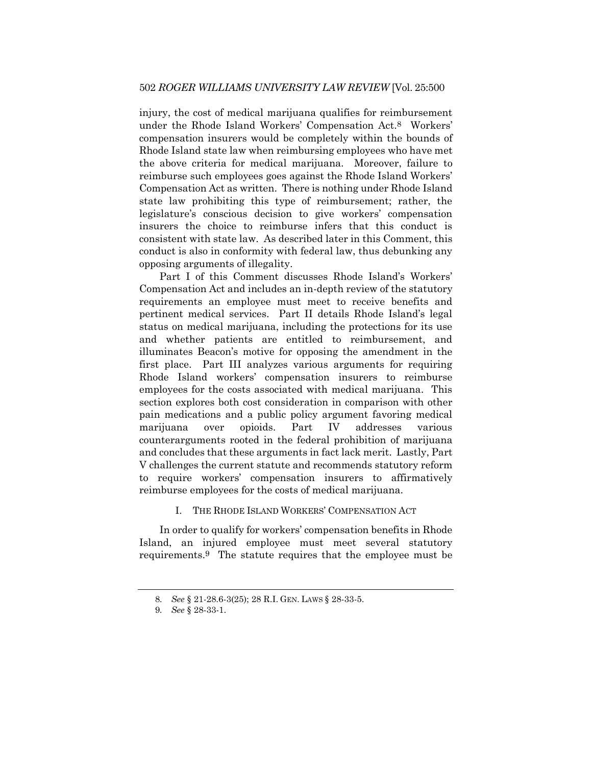injury, the cost of medical marijuana qualifies for reimbursement under the Rhode Island Workers' Compensation Act.8 Workers' compensation insurers would be completely within the bounds of Rhode Island state law when reimbursing employees who have met the above criteria for medical marijuana. Moreover, failure to reimburse such employees goes against the Rhode Island Workers' Compensation Act as written. There is nothing under Rhode Island state law prohibiting this type of reimbursement; rather, the legislature's conscious decision to give workers' compensation insurers the choice to reimburse infers that this conduct is consistent with state law. As described later in this Comment, this conduct is also in conformity with federal law, thus debunking any opposing arguments of illegality.

Part I of this Comment discusses Rhode Island's Workers' Compensation Act and includes an in-depth review of the statutory requirements an employee must meet to receive benefits and pertinent medical services. Part II details Rhode Island's legal status on medical marijuana, including the protections for its use and whether patients are entitled to reimbursement, and illuminates Beacon's motive for opposing the amendment in the first place. Part III analyzes various arguments for requiring Rhode Island workers' compensation insurers to reimburse employees for the costs associated with medical marijuana. This section explores both cost consideration in comparison with other pain medications and a public policy argument favoring medical marijuana over opioids. Part IV addresses various counterarguments rooted in the federal prohibition of marijuana and concludes that these arguments in fact lack merit. Lastly, Part V challenges the current statute and recommends statutory reform to require workers' compensation insurers to affirmatively reimburse employees for the costs of medical marijuana.

I. THE RHODE ISLAND WORKERS' COMPENSATION ACT

In order to qualify for workers' compensation benefits in Rhode Island, an injured employee must meet several statutory requirements.9 The statute requires that the employee must be

<sup>8</sup>*. See* § 21-28.6-3(25); 28 R.I. GEN. LAWS § 28-33-5.

<sup>9</sup>*. See* § 28-33-1.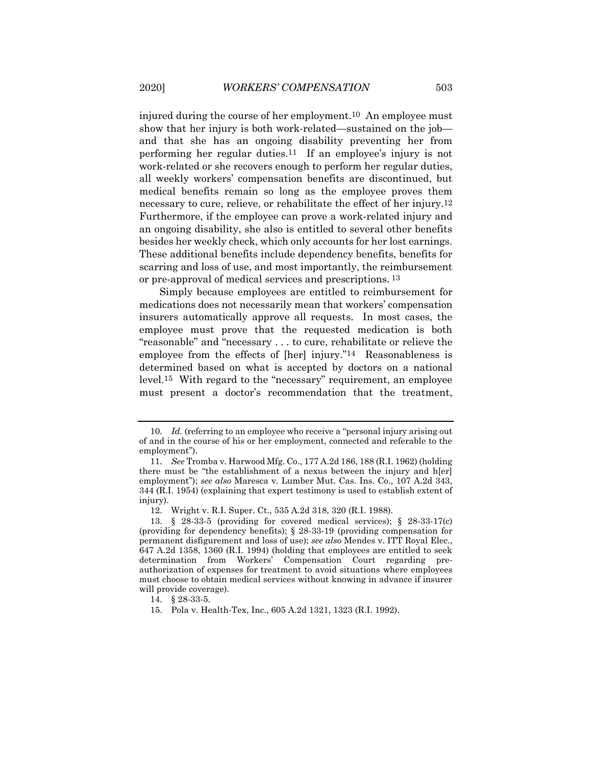injured during the course of her employment.10 An employee must show that her injury is both work-related—sustained on the job and that she has an ongoing disability preventing her from performing her regular duties.11 If an employee's injury is not work-related or she recovers enough to perform her regular duties, all weekly workers' compensation benefits are discontinued, but medical benefits remain so long as the employee proves them necessary to cure, relieve, or rehabilitate the effect of her injury.12 Furthermore, if the employee can prove a work-related injury and an ongoing disability, she also is entitled to several other benefits besides her weekly check, which only accounts for her lost earnings. These additional benefits include dependency benefits, benefits for scarring and loss of use, and most importantly, the reimbursement or pre-approval of medical services and prescriptions. 13

Simply because employees are entitled to reimbursement for medications does not necessarily mean that workers' compensation insurers automatically approve all requests. In most cases, the employee must prove that the requested medication is both "reasonable" and "necessary . . . to cure, rehabilitate or relieve the employee from the effects of [her] injury."<sup>14</sup> Reasonableness is determined based on what is accepted by doctors on a national level.15 With regard to the "necessary" requirement, an employee must present a doctor's recommendation that the treatment,

<sup>10</sup>*. Id.* (referring to an employee who receive a "personal injury arising out of and in the course of his or her employment, connected and referable to the employment").

<sup>11</sup>*. See* Tromba v. Harwood Mfg. Co., 177 A.2d 186, 188 (R.I. 1962) (holding there must be "the establishment of a nexus between the injury and h[er] employment"); *see also* Maresca v. Lumber Mut. Cas. Ins. Co., 107 A.2d 343, 344 (R.I. 1954) (explaining that expert testimony is used to establish extent of injury).

<sup>12.</sup> Wright v. R.I. Super. Ct., 535 A.2d 318, 320 (R.I. 1988).

<sup>13.</sup> § 28-33-5 (providing for covered medical services); § 28-33-17(c) (providing for dependency benefits); § 28-33-19 (providing compensation for permanent disfigurement and loss of use); *see also* Mendes v. ITT Royal Elec., 647 A.2d 1358, 1360 (R.I. 1994) (holding that employees are entitled to seek determination from Workers' Compensation Court regarding preauthorization of expenses for treatment to avoid situations where employees must choose to obtain medical services without knowing in advance if insurer will provide coverage).

<sup>14.</sup> § 28-33-5.

<sup>15.</sup> Pola v. Health-Tex, Inc., 605 A.2d 1321, 1323 (R.I. 1992).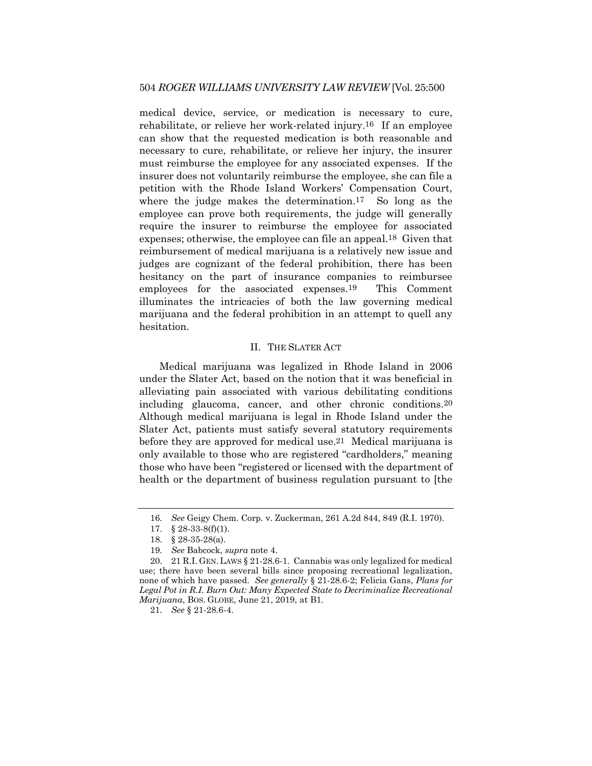medical device, service, or medication is necessary to cure, rehabilitate, or relieve her work-related injury.16 If an employee can show that the requested medication is both reasonable and necessary to cure, rehabilitate, or relieve her injury, the insurer must reimburse the employee for any associated expenses. If the insurer does not voluntarily reimburse the employee, she can file a petition with the Rhode Island Workers' Compensation Court, where the judge makes the determination.<sup>17</sup> So long as the employee can prove both requirements, the judge will generally require the insurer to reimburse the employee for associated expenses; otherwise, the employee can file an appeal.18 Given that reimbursement of medical marijuana is a relatively new issue and judges are cognizant of the federal prohibition, there has been hesitancy on the part of insurance companies to reimbursee employees for the associated expenses.19 This Comment illuminates the intricacies of both the law governing medical marijuana and the federal prohibition in an attempt to quell any hesitation.

#### II. THE SLATER ACT

Medical marijuana was legalized in Rhode Island in 2006 under the Slater Act, based on the notion that it was beneficial in alleviating pain associated with various debilitating conditions including glaucoma, cancer, and other chronic conditions.20 Although medical marijuana is legal in Rhode Island under the Slater Act, patients must satisfy several statutory requirements before they are approved for medical use.21 Medical marijuana is only available to those who are registered "cardholders," meaning those who have been "registered or licensed with the department of health or the department of business regulation pursuant to [the

<sup>16</sup>*. See* Geigy Chem. Corp. v. Zuckerman, 261 A.2d 844, 849 (R.I. 1970).

<sup>17.</sup> § 28-33-8(f)(1).

<sup>18.</sup> § 28-35-28(a).

<sup>19</sup>*. See* Babcock, *supra* note 4.

<sup>20.</sup> 21 R.I. GEN. LAWS § 21-28.6-1. Cannabis was only legalized for medical use; there have been several bills since proposing recreational legalization, none of which have passed. *See generally* § 21-28.6-2; Felicia Gans, *Plans for*  Legal Pot in R.I. Burn Out: Many Expected State to Decriminalize Recreational *Marijuana*, BOS. GLOBE, June 21, 2019, at B1.

<sup>21</sup>*. See* § 21-28.6-4.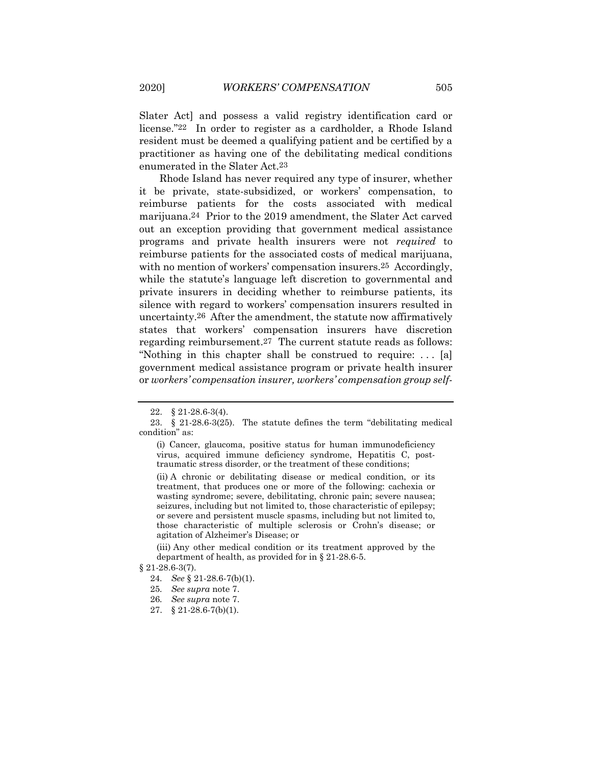Slater Act] and possess a valid registry identification card or license."22 In order to register as a cardholder, a Rhode Island resident must be deemed a qualifying patient and be certified by a practitioner as having one of the debilitating medical conditions enumerated in the Slater Act.23

Rhode Island has never required any type of insurer, whether it be private, state-subsidized, or workers' compensation, to reimburse patients for the costs associated with medical marijuana.24 Prior to the 2019 amendment, the Slater Act carved out an exception providing that government medical assistance programs and private health insurers were not *required* to reimburse patients for the associated costs of medical marijuana, with no mention of workers' compensation insurers.<sup>25</sup> Accordingly, while the statute's language left discretion to governmental and private insurers in deciding whether to reimburse patients, its silence with regard to workers' compensation insurers resulted in uncertainty.26 After the amendment, the statute now affirmatively states that workers' compensation insurers have discretion regarding reimbursement.27 The current statute reads as follows: "Nothing in this chapter shall be construed to require: . . . [a] government medical assistance program or private health insurer or *workers' compensation insurer, workers' compensation group self-*

(ii) A chronic or debilitating disease or medical condition, or its treatment, that produces one or more of the following: cachexia or wasting syndrome; severe, debilitating, chronic pain; severe nausea; seizures, including but not limited to, those characteristic of epilepsy; or severe and persistent muscle spasms, including but not limited to, those characteristic of multiple sclerosis or Crohn's disease; or agitation of Alzheimer's Disease; or

(iii) Any other medical condition or its treatment approved by the department of health, as provided for in [§ 21-28.6-5.](https://advance.lexis.com/document/?pdmfid=1000516&crid=0060b36a-24ba-4ab3-a2cb-b5ec9ee6d28c&pddocfullpath=%2Fshared%2Fdocument%2Fstatutes-legislation%2Furn%3AcontentItem%3A5XBM-FF41-JN14-G0N9-00000-00&pdtocnodeidentifier=AAWABLAAD&ecomp=bd5dk&prid=1dae0882-33ec-42d9-a06f-4d3f79f875fa)

<sup>22.</sup> § 21-28.6-3(4).

<sup>23.</sup> § 21-28.6-3(25). The statute defines the term "debilitating medical condition" as:

<sup>(</sup>i) Cancer, glaucoma, positive status for human immunodeficiency virus, acquired immune deficiency syndrome, Hepatitis C, posttraumatic stress disorder, or the treatment of these conditions;

<sup>§ 21-28.6-3(7).</sup> 

<sup>24</sup>*. See* § 21-28.6-7(b)(1).

<sup>25</sup>*. See supra* note 7.

<sup>26</sup>*. See supra* note 7.

<sup>27.</sup> § 21-28.6-7(b)(1).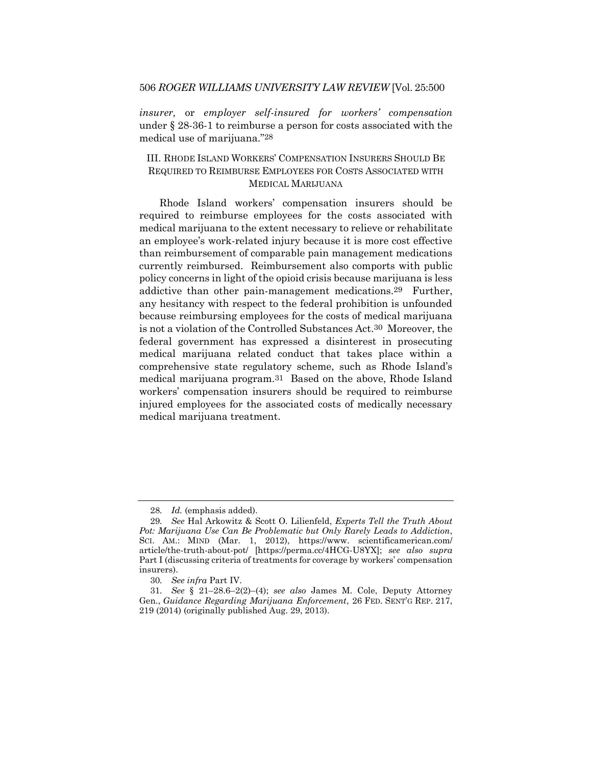*insurer,* or *employer self-insured for workers' compensation* under § 28-36-1 to reimburse a person for costs associated with the medical use of marijuana."28

## III. RHODE ISLAND WORKERS' COMPENSATION INSURERS SHOULD BE REQUIRED TO REIMBURSE EMPLOYEES FOR COSTS ASSOCIATED WITH MEDICAL MARIJUANA

Rhode Island workers' compensation insurers should be required to reimburse employees for the costs associated with medical marijuana to the extent necessary to relieve or rehabilitate an employee's work-related injury because it is more cost effective than reimbursement of comparable pain management medications currently reimbursed. Reimbursement also comports with public policy concerns in light of the opioid crisis because marijuana is less addictive than other pain-management medications.29 Further, any hesitancy with respect to the federal prohibition is unfounded because reimbursing employees for the costs of medical marijuana is not a violation of the Controlled Substances Act.30 Moreover, the federal government has expressed a disinterest in prosecuting medical marijuana related conduct that takes place within a comprehensive state regulatory scheme, such as Rhode Island's medical marijuana program.31 Based on the above, Rhode Island workers' compensation insurers should be required to reimburse injured employees for the associated costs of medically necessary medical marijuana treatment.

<sup>28</sup>*. Id.* (emphasis added).

<sup>29</sup>*. See* Hal Arkowitz & Scott O. Lilienfeld, *Experts Tell the Truth About Pot: Marijuana Use Can Be Problematic but Only Rarely Leads to Addiction*, SCI. AM.: MIND (Mar. 1, 2012), https://www. scientificamerican.com/ article/the-truth-about-pot/ [https://perma.cc/4HCG-U8YX]; *see also supra* Part I (discussing criteria of treatments for coverage by workers' compensation insurers).

<sup>30</sup>*. See infra* Part IV.

<sup>31</sup>*. See* § 21–28.6–2(2)–(4); *see also* James M. Cole, Deputy Attorney Gen., *Guidance Regarding Marijuana Enforcement*, 26 FED. SENT'G REP. 217, 219 (2014) (originally published Aug. 29, 2013).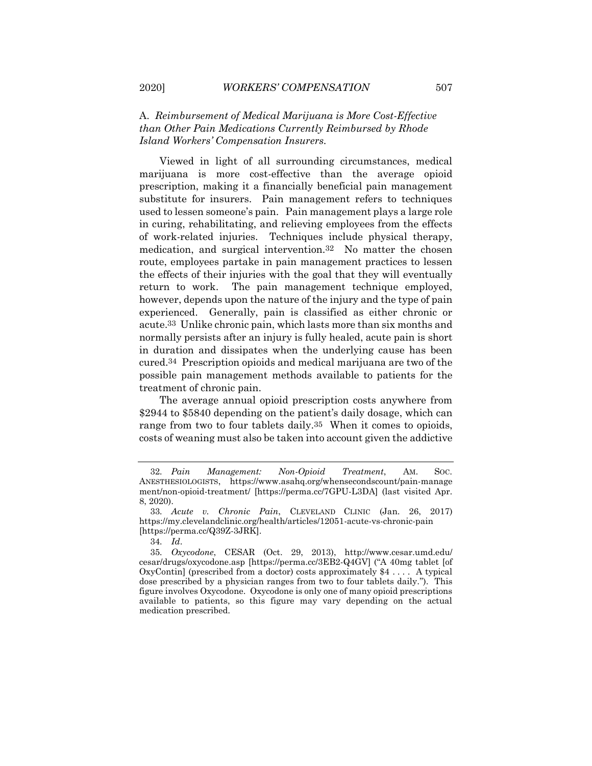### A. *Reimbursement of Medical Marijuana is More Cost-Effective than Other Pain Medications Currently Reimbursed by Rhode Island Workers' Compensation Insurers.*

Viewed in light of all surrounding circumstances, medical marijuana is more cost-effective than the average opioid prescription, making it a financially beneficial pain management substitute for insurers. Pain management refers to techniques used to lessen someone's pain. Pain management plays a large role in curing, rehabilitating, and relieving employees from the effects of work-related injuries. Techniques include physical therapy, medication, and surgical intervention.32 No matter the chosen route, employees partake in pain management practices to lessen the effects of their injuries with the goal that they will eventually return to work. The pain management technique employed, however, depends upon the nature of the injury and the type of pain experienced. Generally, pain is classified as either chronic or acute.33 Unlike chronic pain, which lasts more than six months and normally persists after an injury is fully healed, acute pain is short in duration and dissipates when the underlying cause has been cured.34 Prescription opioids and medical marijuana are two of the possible pain management methods available to patients for the treatment of chronic pain.

The average annual opioid prescription costs anywhere from \$2944 to \$5840 depending on the patient's daily dosage, which can range from two to four tablets daily.<sup>35</sup> When it comes to opioids, costs of weaning must also be taken into account given the addictive

<sup>32</sup>*. Pain Management: Non-Opioid Treatment*, AM. SOC. ANESTHESIOLOGISTS, https://www.asahq.org/whensecondscount/pain-manage ment/non-opioid-treatment/ [https://perma.cc/7GPU-L3DA] (last visited Apr. 8, 2020).

<sup>33</sup>*. Acute v. Chronic Pain*, CLEVELAND CLINIC (Jan. 26, 2017) <https://my.clevelandclinic.org/health/articles/12051-acute-vs-chronic-pain> [https://perma.cc/Q39Z-3JRK].

<sup>34</sup>*. Id*.

<sup>35</sup>*. Oxycodone*, CESAR (Oct. 29, 2013), [http://www.cesar.umd.edu/](http://www.cesar.umd.edu/cesar/drugs/oxycodone.asp) [cesar/drugs/oxycodone.asp](http://www.cesar.umd.edu/cesar/drugs/oxycodone.asp) [https://perma.cc/3EB2-Q4GV] ("A 40mg tablet [of OxyContin] (prescribed from a doctor) costs approximately  $$4 \dots$ . A typical dose prescribed by a physician ranges from two to four tablets daily."). This figure involves Oxycodone. Oxycodone is only one of many opioid prescriptions available to patients, so this figure may vary depending on the actual medication prescribed.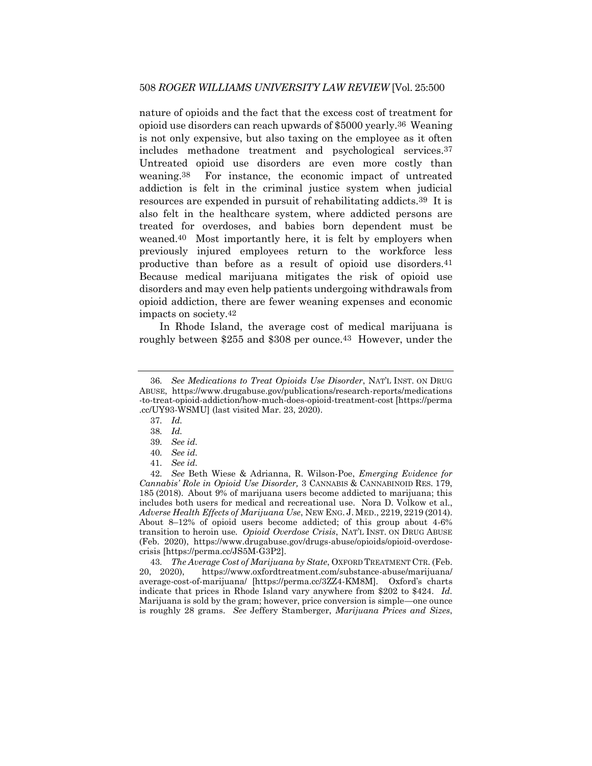nature of opioids and the fact that the excess cost of treatment for opioid use disorders can reach upwards of \$5000 yearly.36 Weaning is not only expensive, but also taxing on the employee as it often includes methadone treatment and psychological services.37 Untreated opioid use disorders are even more costly than weaning.38 For instance, the economic impact of untreated addiction is felt in the criminal justice system when judicial resources are expended in pursuit of rehabilitating addicts.39 It is also felt in the healthcare system, where addicted persons are treated for overdoses, and babies born dependent must be weaned.40 Most importantly here, it is felt by employers when previously injured employees return to the workforce less productive than before as a result of opioid use disorders.41 Because medical marijuana mitigates the risk of opioid use disorders and may even help patients undergoing withdrawals from opioid addiction, there are fewer weaning expenses and economic impacts on society.42

<span id="page-9-0"></span>In Rhode Island, the average cost of medical marijuana is roughly between \$255 and \$308 per ounce.43 However, under the

43*. The Average Cost of Marijuana by State*, OXFORD TREATMENT CTR. (Feb. 20, 2020), [https://www.oxfordtreatment.com/substance-abuse/marijuana/](https://www.oxfordtreatment.com/substance-abuse/marijuana/average-cost-of-marijuana/) [average-cost-of-marijuana/](https://www.oxfordtreatment.com/substance-abuse/marijuana/average-cost-of-marijuana/) [https://perma.cc/3ZZ4-KM8M]. Oxford's charts indicate that prices in Rhode Island vary anywhere from \$202 to \$424. *Id.*  Marijuana is sold by the gram; however, price conversion is simple—one ounce is roughly 28 grams. *See* Jeffery Stamberger, *Marijuana Prices and Sizes*,

<sup>36</sup>*. See Medications to Treat Opioids Use Disorder*, NAT'L INST. ON DRUG ABUSE, [https://www.drugabuse.gov/publications/research-reports/medications](https://www.drugabuse.gov/publications/research-reports/medications-to-treat-opioid-addiction/how-much-does-opioid-treatment-cost) [-to-treat-opioid-addiction/how-much-does-opioid-treatment-cost](https://www.drugabuse.gov/publications/research-reports/medications-to-treat-opioid-addiction/how-much-does-opioid-treatment-cost) [https://perma .cc/UY93-WSMU] (last visited Mar. 23, 2020).

<sup>37</sup>*. Id.*

<sup>38</sup>*. Id.*

<sup>39</sup>*. See id.*

<sup>40</sup>*. See id.*

<sup>41</sup>*. See id.*

<sup>42</sup>*. See* Beth Wiese & Adrianna, R. Wilson-Poe, *Emerging Evidence for Cannabis' Role in Opioid Use Disorder,* 3 CANNABIS & CANNABINOID RES. 179, 185 (2018). About 9% of marijuana users become addicted to marijuana; this includes both users for medical and recreational use. Nora D. Volkow et al., *Adverse Health Effects of Marijuana Use*, NEW ENG. J. MED., 2219, 2219 (2014). About 8–12% of opioid users become addicted; of this group about 4-6% transition to heroin use*. Opioid Overdose Crisis*, NAT'L INST. ON DRUG ABUSE (Feb. 2020), https://www.drugabuse.gov/drugs-abuse/opioids/opioid-overdosecrisis [https://perma.cc/JS5M-G3P2].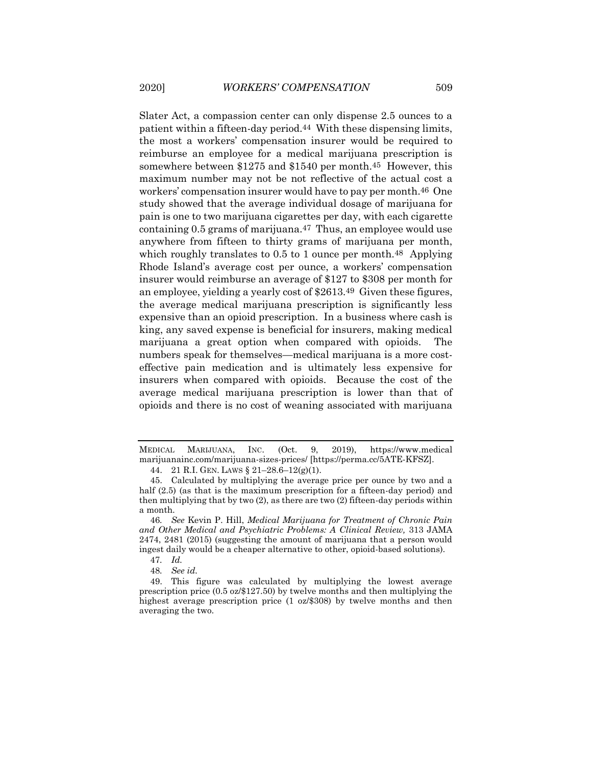Slater Act, a compassion center can only dispense 2.5 ounces to a patient within a fifteen-day period.44 With these dispensing limits, the most a workers' compensation insurer would be required to reimburse an employee for a medical marijuana prescription is somewhere between \$1275 and \$1540 per month.45 However, this maximum number may not be not reflective of the actual cost a workers' compensation insurer would have to pay per month.46 One study showed that the average individual dosage of marijuana for pain is one to two marijuana cigarettes per day, with each cigarette containing 0.5 grams of marijuana.47 Thus, an employee would use anywhere from fifteen to thirty grams of marijuana per month, which roughly translates to 0.5 to 1 ounce per month.<sup>48</sup> Applying Rhode Island's average cost per ounce, a workers' compensation insurer would reimburse an average of \$127 to \$308 per month for an employee, yielding a yearly cost of \$2613.49 Given these figures, the average medical marijuana prescription is significantly less expensive than an opioid prescription. In a business where cash is king, any saved expense is beneficial for insurers, making medical marijuana a great option when compared with opioids. The numbers speak for themselves—medical marijuana is a more costeffective pain medication and is ultimately less expensive for insurers when compared with opioids. Because the cost of the average medical marijuana prescription is lower than that of opioids and there is no cost of weaning associated with marijuana

<span id="page-10-0"></span>MEDICAL MARIJUANA, INC. (Oct. 9, 2019), https://www.medical marijuanainc.com/marijuana-sizes-prices/ [https://perma.cc/5ATE-KFSZ].

<sup>44.</sup> 21 R.I. GEN. LAWS § 21–28.6–12(g)(1).

<sup>45.</sup> Calculated by multiplying the average price per ounce by two and a half  $(2.5)$  (as that is the maximum prescription for a fifteen-day period) and then multiplying that by two (2), as there are two (2) fifteen-day periods within a month.

<sup>46</sup>*. See* Kevin P. Hill, *Medical Marijuana for Treatment of Chronic Pain and Other Medical and Psychiatric Problems: A Clinical Review,* 313 JAMA 2474, 2481 (2015) (suggesting the amount of marijuana that a person would ingest daily would be a cheaper alternative to other, opioid-based solutions).

<sup>47</sup>*. Id.*

<sup>48</sup>*. See id.*

<sup>49.</sup> This figure was calculated by multiplying the lowest average prescription price (0.5 oz/\$127.50) by twelve months and then multiplying the highest average prescription price (1 oz/\$308) by twelve months and then averaging the two.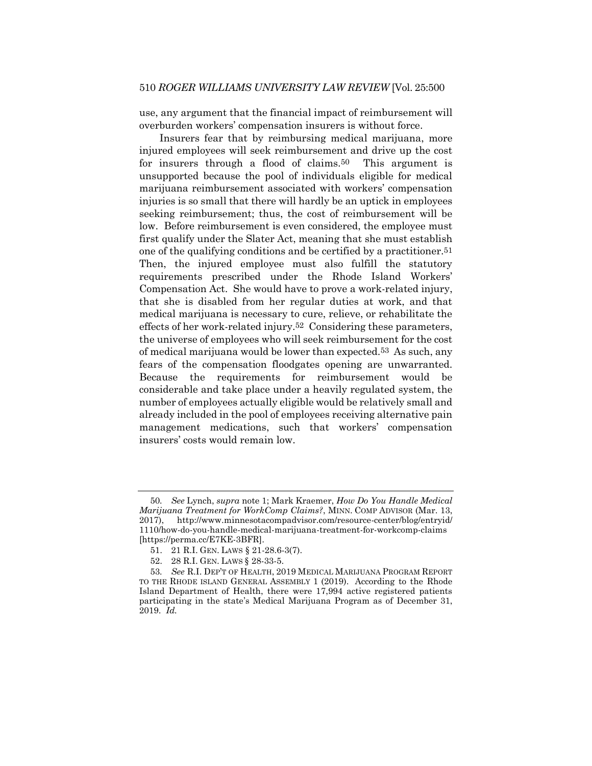use, any argument that the financial impact of reimbursement will overburden workers' compensation insurers is without force.

Insurers fear that by reimbursing medical marijuana, more injured employees will seek reimbursement and drive up the cost for insurers through a flood of claims.50 This argument is unsupported because the pool of individuals eligible for medical marijuana reimbursement associated with workers' compensation injuries is so small that there will hardly be an uptick in employees seeking reimbursement; thus, the cost of reimbursement will be low. Before reimbursement is even considered, the employee must first qualify under the Slater Act, meaning that she must establish one of the qualifying conditions and be certified by a practitioner.51 Then, the injured employee must also fulfill the statutory requirements prescribed under the Rhode Island Workers' Compensation Act. She would have to prove a work-related injury, that she is disabled from her regular duties at work, and that medical marijuana is necessary to cure, relieve, or rehabilitate the effects of her work-related injury.52 Considering these parameters, the universe of employees who will seek reimbursement for the cost of medical marijuana would be lower than expected.53 As such, any fears of the compensation floodgates opening are unwarranted. Because the requirements for reimbursement would be considerable and take place under a heavily regulated system, the number of employees actually eligible would be relatively small and already included in the pool of employees receiving alternative pain management medications, such that workers' compensation insurers' costs would remain low.

<sup>50</sup>*. See* Lynch, *supra* note 1; Mark Kraemer, *How Do You Handle Medical Marijuana Treatment for WorkComp Claims?*, MINN. COMP ADVISOR (Mar. 13, 2017), http://www.minnesotacompadvisor.com/resource-center/blog/entryid/ 1110/how-do-you-handle-medical-marijuana-treatment-for-workcomp-claims [https://perma.cc/E7KE-3BFR].

<sup>51.</sup> 21 R.I. GEN. LAWS § 21-28.6-3(7).

<sup>52.</sup> 28 R.I. GEN. LAWS § 28-33-5.

<sup>53</sup>*. See* R.I. DEP'T OF HEALTH, 2019 MEDICAL MARIJUANA PROGRAM REPORT TO THE RHODE ISLAND GENERAL ASSEMBLY 1 (2019). According to the Rhode Island Department of Health, there were 17,994 active registered patients participating in the state's Medical Marijuana Program as of December 31, 2019. *Id.*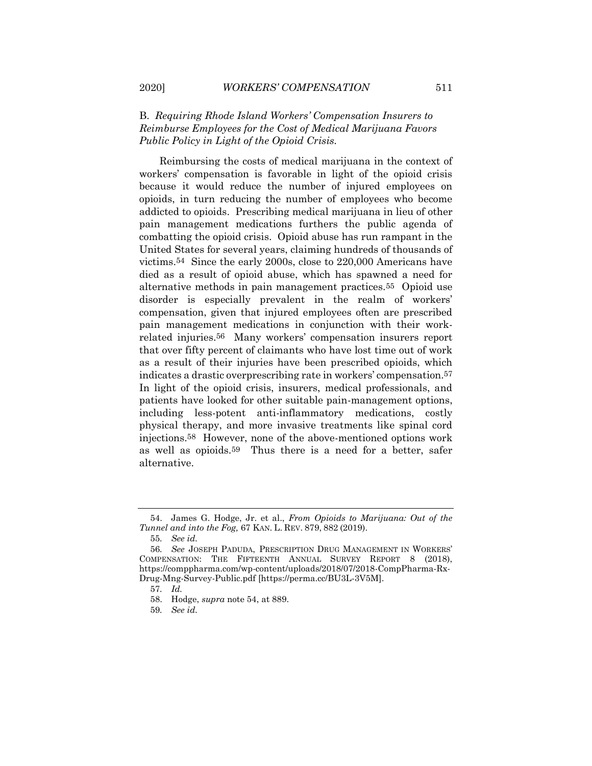## B. *Requiring Rhode Island Workers' Compensation Insurers to Reimburse Employees for the Cost of Medical Marijuana Favors Public Policy in Light of the Opioid Crisis.*

Reimbursing the costs of medical marijuana in the context of workers' compensation is favorable in light of the opioid crisis because it would reduce the number of injured employees on opioids, in turn reducing the number of employees who become addicted to opioids. Prescribing medical marijuana in lieu of other pain management medications furthers the public agenda of combatting the opioid crisis. Opioid abuse has run rampant in the United States for several years, claiming hundreds of thousands of victims.54 Since the early 2000s, close to 220,000 Americans have died as a result of opioid abuse, which has spawned a need for alternative methods in pain management practices.55 Opioid use disorder is especially prevalent in the realm of workers' compensation, given that injured employees often are prescribed pain management medications in conjunction with their workrelated injuries.56 Many workers' compensation insurers report that over fifty percent of claimants who have lost time out of work as a result of their injuries have been prescribed opioids, which indicates a drastic overprescribing rate in workers' compensation.57 In light of the opioid crisis, insurers, medical professionals, and patients have looked for other suitable pain-management options, including less-potent anti-inflammatory medications, costly physical therapy, and more invasive treatments like spinal cord injections.58 However, none of the above-mentioned options work as well as opioids.59 Thus there is a need for a better, safer alternative.

<sup>54.</sup> James G. Hodge, Jr. et al., *From Opioids to Marijuana: Out of the Tunnel and into the Fog,* 67 KAN. L. REV. 879, 882 (2019).

<sup>55</sup>*. See id.*

<sup>56</sup>*. See* JOSEPH PADUDA, PRESCRIPTION DRUG MANAGEMENT IN WORKERS' COMPENSATION: THE FIFTEENTH ANNUAL SURVEY REPORT 8 (2018), https://comppharma.com/wp-content/uploads/2018/07/2018-CompPharma-Rx-Drug-Mng-Survey-Public.pdf [https://perma.cc/BU3L-3V5M].

<sup>57</sup>*. Id.*

<sup>58.</sup> Hodge, *supra* note 54, at 889.

<sup>59</sup>*. See id.*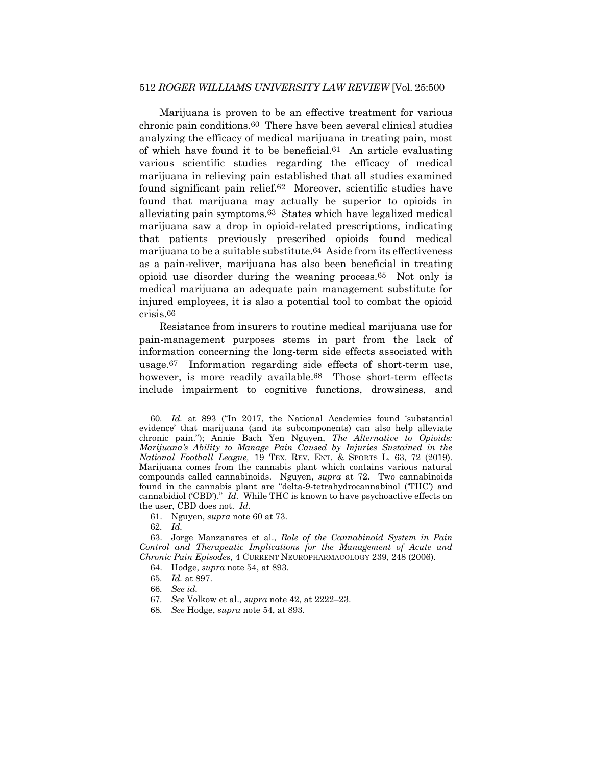#### 512 *ROGER WILLIAMS UNIVERSITY LAW REVIEW* [Vol. 25:500

Marijuana is proven to be an effective treatment for various chronic pain conditions.60 There have been several clinical studies analyzing the efficacy of medical marijuana in treating pain, most of which have found it to be beneficial.61 An article evaluating various scientific studies regarding the efficacy of medical marijuana in relieving pain established that all studies examined found significant pain relief.62 Moreover, scientific studies have found that marijuana may actually be superior to opioids in alleviating pain symptoms.63 States which have legalized medical marijuana saw a drop in opioid-related prescriptions, indicating that patients previously prescribed opioids found medical marijuana to be a suitable substitute.64 Aside from its effectiveness as a pain-reliver, marijuana has also been beneficial in treating opioid use disorder during the weaning process.65 Not only is medical marijuana an adequate pain management substitute for injured employees, it is also a potential tool to combat the opioid crisis.66

Resistance from insurers to routine medical marijuana use for pain-management purposes stems in part from the lack of information concerning the long-term side effects associated with usage.<sup>67</sup> Information regarding side effects of short-term use, however, is more readily available.<sup>68</sup> Those short-term effects include impairment to cognitive functions, drowsiness, and

61. Nguyen, *supra* note 60 at 73.

62*. Id.*

63. Jorge Manzanares et al., *Role of the Cannabinoid System in Pain Control and Therapeutic Implications for the Management of Acute and Chronic Pain Episodes*, 4 CURRENT NEUROPHARMACOLOGY 239, 248 (2006).

64. Hodge, *supra* note 54, at 893.

- 65*. Id.* at 897.
- 66*. See id.*
- 67*. See* Volkow et al., *supra* note 42, at 2222–23.
- 68*. See* Hodge, *supra* note 54, at 893.

<sup>60</sup>*. Id.* at 893 ("In 2017, the National Academies found 'substantial evidence' that marijuana (and its subcomponents) can also help alleviate chronic pain."); Annie Bach Yen Nguyen, *The Alternative to Opioids: Marijuana's Ability to Manage Pain Caused by Injuries Sustained in the National Football League,* 19 TEX. REV. ENT. & SPORTS L. 63, 72 (2019). Marijuana comes from the cannabis plant which contains various natural compounds called cannabinoids. Nguyen, *supra* at 72. Two cannabinoids found in the cannabis plant are "delta-9-tetrahydrocannabinol ('THC') and cannabidiol ('CBD')." *Id.* While THC is known to have psychoactive effects on the user, CBD does not. *Id.*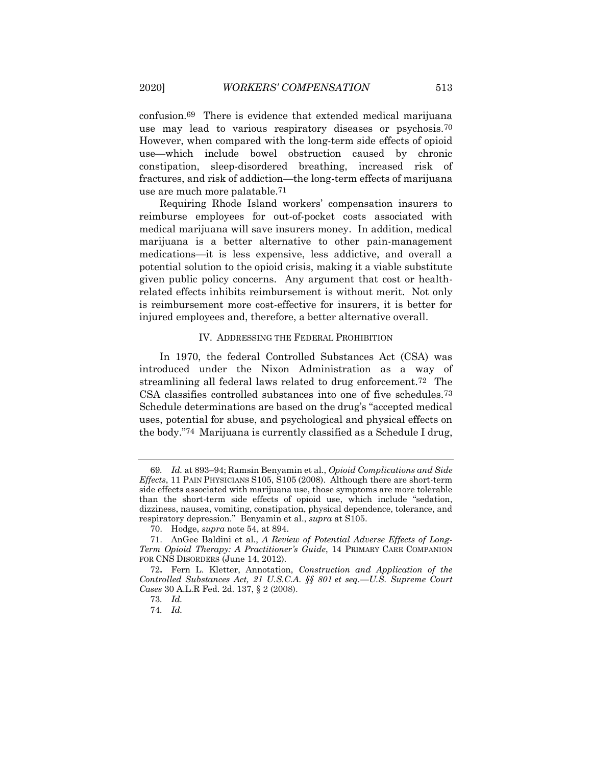confusion.69 There is evidence that extended medical marijuana use may lead to various respiratory diseases or psychosis.70 However, when compared with the long-term side effects of opioid use—which include bowel obstruction caused by chronic constipation, sleep-disordered breathing, increased risk of fractures, and risk of addiction—the long-term effects of marijuana use are much more palatable.71

Requiring Rhode Island workers' compensation insurers to reimburse employees for out-of-pocket costs associated with medical marijuana will save insurers money. In addition, medical marijuana is a better alternative to other pain-management medications—it is less expensive, less addictive, and overall a potential solution to the opioid crisis, making it a viable substitute given public policy concerns. Any argument that cost or healthrelated effects inhibits reimbursement is without merit. Not only is reimbursement more cost-effective for insurers, it is better for injured employees and, therefore, a better alternative overall.

#### IV. ADDRESSING THE FEDERAL PROHIBITION

In 1970, the federal Controlled Substances Act (CSA) was introduced under the Nixon Administration as a way of streamlining all federal laws related to drug enforcement.<sup>72</sup> The CSA classifies controlled substances into one of five schedules.73 Schedule determinations are based on the drug's "accepted medical uses, potential for abuse, and psychological and physical effects on the body."74 Marijuana is currently classified as a Schedule I drug,

<sup>69</sup>*. Id.* at 893–94; Ramsin Benyamin et al., *Opioid Complications and Side Effects*, 11 PAIN PHYSICIANS S105, S105 (2008). Although there are short-term side effects associated with marijuana use, those symptoms are more tolerable than the short-term side effects of opioid use, which include "sedation, dizziness, nausea, vomiting, constipation, physical dependence, tolerance, and respiratory depression." Benyamin et al., *supra* at S105.

<sup>70.</sup> Hodge, *supra* note 54, at 894.

<sup>71.</sup> AnGee Baldini et al., *A Review of Potential Adverse Effects of Long-Term Opioid Therapy: A Practitioner's Guide*, 14 PRIMARY CARE COMPANION FOR CNS DISORDERS (June 14, 2012).

<sup>72</sup>**.** Fern L. Kletter, Annotation, *Construction and Application of the Controlled Substances Act, 21 [U.S.C.A.](https://advance.lexis.com/document/?pdmfid=1000516&crid=90eee488-e1cc-4fb3-b7a6-5c00a5c8b381&pddocfullpath=%2Fshared%2Fdocument%2Fanalytical-materials%2Furn%3AcontentItem%3A5MX7-RTM0-01X1-S16B-00000-00&pddocid=urn%3AcontentItem%3A5MX7-RTM0-01X1-S16B-00000-00&pdcontentcomponentid=338920&pdteaserkey=sr0&pditab=allpods&ecomp=wpnqk&earg=sr0&prid=468260ca-4a57-4f4f-a5c4-f19f7831c0e1) §§ 801 et seq.—U.S. Supreme Court Cases* 30 A.L.R Fed. 2d. 137, § 2 (2008).

<sup>73</sup>*. Id.*

<sup>74</sup>*. Id.*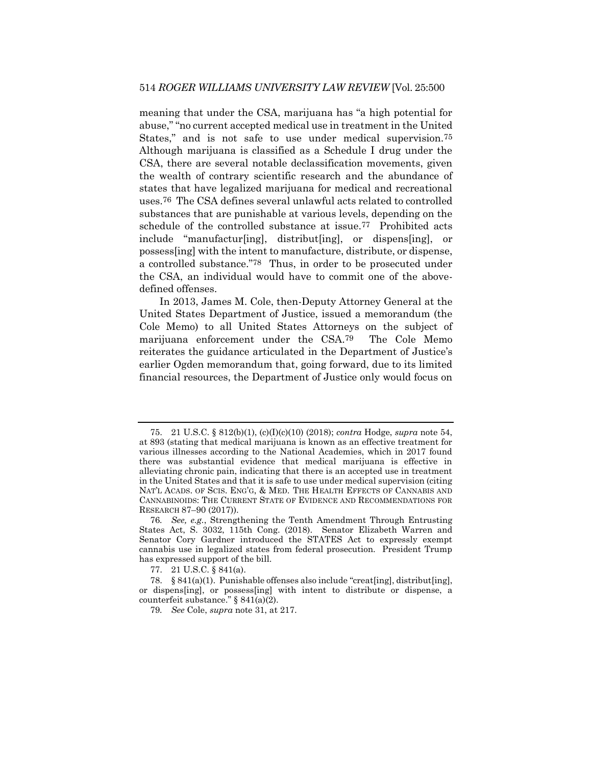meaning that under the CSA, marijuana has "a high potential for abuse," "no current accepted medical use in treatment in the United States," and is not safe to use under medical supervision.75 Although marijuana is classified as a Schedule I drug under the CSA, there are several notable declassification movements, given the wealth of contrary scientific research and the abundance of states that have legalized marijuana for medical and recreational uses.76 The CSA defines several unlawful acts related to controlled substances that are punishable at various levels, depending on the schedule of the controlled substance at issue.77 Prohibited acts include "manufactur[ing], distribut[ing], or dispens[ing], or possess[ing] with the intent to manufacture, distribute, or dispense, a controlled substance."78 Thus, in order to be prosecuted under the CSA, an individual would have to commit one of the abovedefined offenses.

In 2013, James M. Cole, then-Deputy Attorney General at the United States Department of Justice, issued a memorandum (the Cole Memo) to all United States Attorneys on the subject of marijuana enforcement under the CSA.79 The Cole Memo reiterates the guidance articulated in the Department of Justice's earlier Ogden memorandum that, going forward, due to its limited financial resources, the Department of Justice only would focus on

<sup>75.</sup> 21 U.S.C. § 812(b)(1), (c)(I)(c)(10) (2018); *contra* Hodge, *supra* note 54, at 893 (stating that medical marijuana is known as an effective treatment for various illnesses according to the National Academies, which in 2017 found there was substantial evidence that medical marijuana is effective in alleviating chronic pain, indicating that there is an accepted use in treatment in the United States and that it is safe to use under medical supervision (citing NAT'L ACADS. OF SCIS. ENG'G, & MED. THE HEALTH EFFECTS OF CANNABIS AND CANNABINOIDS: THE CURRENT STATE OF EVIDENCE AND RECOMMENDATIONS FOR RESEARCH 87–90 (2017)).

<sup>76</sup>*. See, e.g.*, Strengthening the Tenth Amendment Through Entrusting States Act, S. 3032, 115th Cong. (2018). Senator Elizabeth Warren and Senator Cory Gardner introduced the STATES Act to expressly exempt cannabis use in legalized states from federal prosecution. President Trump has expressed support of the bill.

<sup>77.</sup> 21 U.S.C. § 841(a).

<sup>78.</sup> § 841(a)(1). Punishable offenses also include "creat[ing], distribut[ing], or dispens[ing], or possess[ing] with intent to distribute or dispense, a counterfeit substance." § 841(a)(2).

<sup>79</sup>*. See* Cole, *supra* note 31, at 217.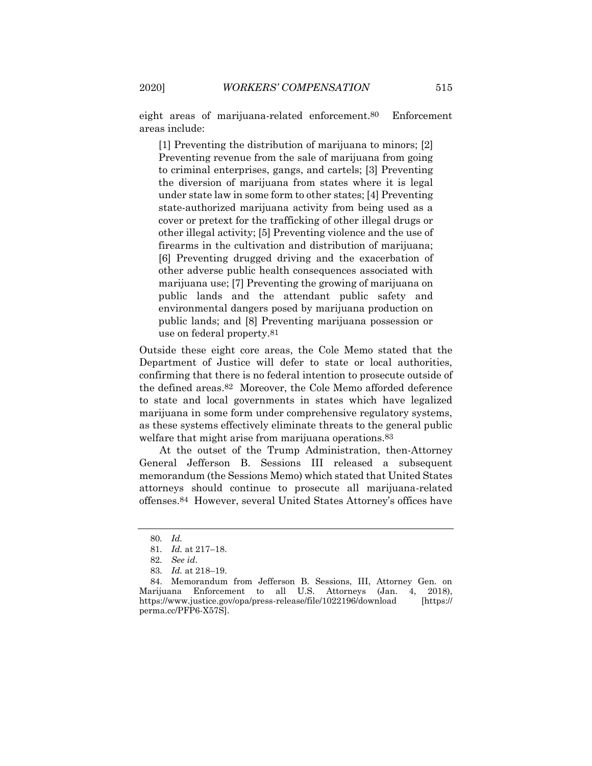eight areas of marijuana-related enforcement.80 Enforcement areas include:

[1] Preventing the distribution of marijuana to minors; [2] Preventing revenue from the sale of marijuana from going to criminal enterprises, gangs, and cartels; [3] Preventing the diversion of marijuana from states where it is legal under state law in some form to other states; [4] Preventing state-authorized marijuana activity from being used as a cover or pretext for the trafficking of other illegal drugs or other illegal activity; [5] Preventing violence and the use of firearms in the cultivation and distribution of marijuana; [6] Preventing drugged driving and the exacerbation of other adverse public health consequences associated with marijuana use; [7] Preventing the growing of marijuana on public lands and the attendant public safety and environmental dangers posed by marijuana production on public lands; and [8] Preventing marijuana possession or use on federal property.81

Outside these eight core areas, the Cole Memo stated that the Department of Justice will defer to state or local authorities, confirming that there is no federal intention to prosecute outside of the defined areas.82 Moreover, the Cole Memo afforded deference to state and local governments in states which have legalized marijuana in some form under comprehensive regulatory systems, as these systems effectively eliminate threats to the general public welfare that might arise from marijuana operations.<sup>83</sup>

At the outset of the Trump Administration, then-Attorney General Jefferson B. Sessions III released a subsequent memorandum (the Sessions Memo) which stated that United States attorneys should continue to prosecute all marijuana-related offenses.84 However, several United States Attorney's offices have

<sup>80</sup>*. Id.*

<sup>81</sup>*. Id.* at 217–18.

<sup>82</sup>*. See id*.

<sup>83</sup>*. Id.* at 218–19.

<sup>84.</sup> Memorandum from Jefferson B. Sessions, III, Attorney Gen. on Marijuana Enforcement to all U.S. Attorneys (Jan. 4, 2018), https://www.justice.gov/opa/press-release/file/1022196/download [https:// perma.cc/PFP6-X57S].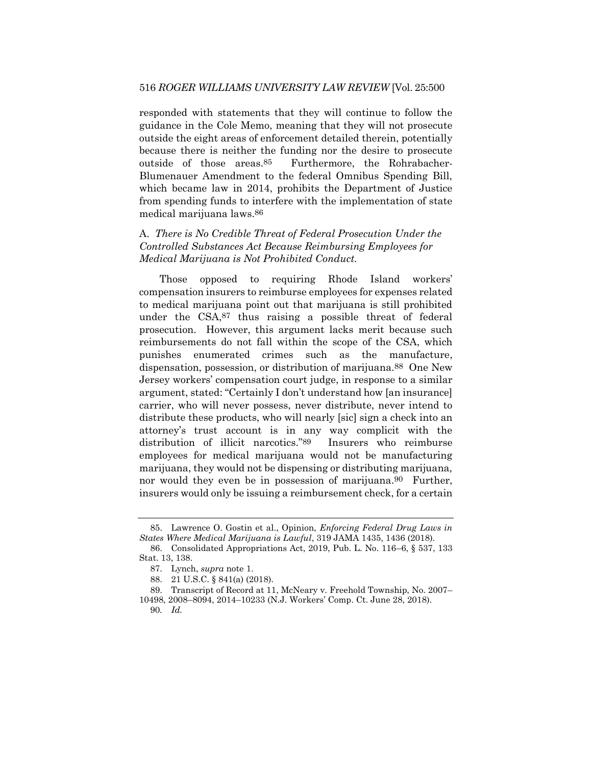responded with statements that they will continue to follow the guidance in the Cole Memo, meaning that they will not prosecute outside the eight areas of enforcement detailed therein, potentially because there is neither the funding nor the desire to prosecute outside of those areas.85 Furthermore, the Rohrabacher-Blumenauer Amendment to the federal Omnibus Spending Bill, which became law in 2014, prohibits the Department of Justice from spending funds to interfere with the implementation of state medical marijuana laws.86

## A. *There is No Credible Threat of Federal Prosecution Under the Controlled Substances Act Because Reimbursing Employees for Medical Marijuana is Not Prohibited Conduct.*

Those opposed to requiring Rhode Island workers' compensation insurers to reimburse employees for expenses related to medical marijuana point out that marijuana is still prohibited under the CSA,87 thus raising a possible threat of federal prosecution. However, this argument lacks merit because such reimbursements do not fall within the scope of the CSA, which punishes enumerated crimes such as the manufacture, dispensation, possession, or distribution of marijuana.88 One New Jersey workers' compensation court judge, in response to a similar argument, stated: "Certainly I don't understand how [an insurance] carrier, who will never possess, never distribute, never intend to distribute these products, who will nearly [sic] sign a check into an attorney's trust account is in any way complicit with the distribution of illicit narcotics."89 Insurers who reimburse employees for medical marijuana would not be manufacturing marijuana, they would not be dispensing or distributing marijuana, nor would they even be in possession of marijuana.<sup>90</sup> Further, insurers would only be issuing a reimbursement check, for a certain

<sup>85.</sup> Lawrence O. Gostin et al., Opinion, *Enforcing Federal Drug Laws in States Where Medical Marijuana is Lawful*, 319 JAMA 1435, 1436 (2018).

<sup>86.</sup> Consolidated Appropriations Act, 2019, Pub. L. No. 116–6, § 537, 133 Stat. 13, 138.

<sup>87.</sup> Lynch, *supra* note 1.

<sup>88.</sup> 21 U.S.C. § 841(a) (2018).

<sup>89.</sup> Transcript of Record at 11, McNeary v. Freehold Township, No. 2007– 10498, 2008–8094, 2014–10233 (N.J. Workers' Comp. Ct. June 28, 2018).

<sup>90</sup>*. Id.*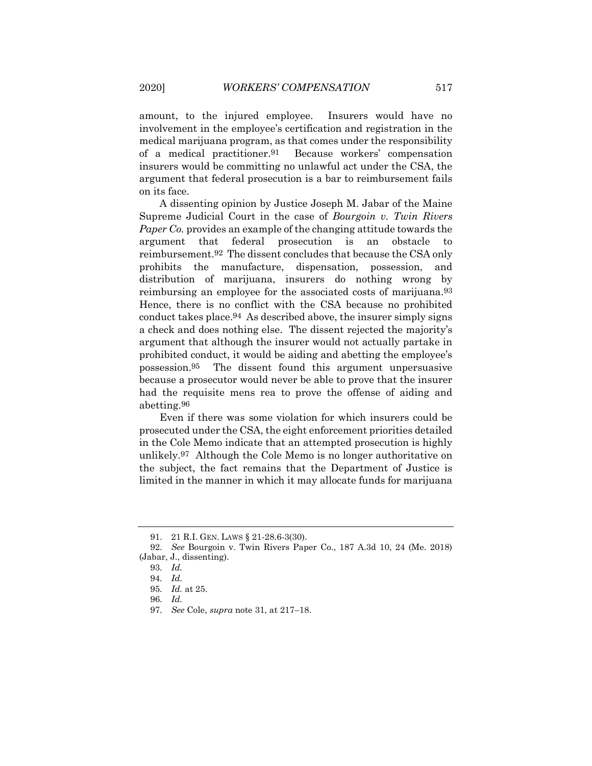amount, to the injured employee. Insurers would have no involvement in the employee's certification and registration in the medical marijuana program, as that comes under the responsibility of a medical practitioner.91 Because workers' compensation insurers would be committing no unlawful act under the CSA, the argument that federal prosecution is a bar to reimbursement fails on its face.

A dissenting opinion by Justice Joseph M. Jabar of the Maine Supreme Judicial Court in the case of *Bourgoin v. Twin Rivers Paper Co.* provides an example of the changing attitude towards the argument that federal prosecution is an obstacle to reimbursement.92 The dissent concludes that because the CSA only prohibits the manufacture, dispensation, possession, and distribution of marijuana, insurers do nothing wrong by reimbursing an employee for the associated costs of marijuana.93 Hence, there is no conflict with the CSA because no prohibited conduct takes place.94 As described above, the insurer simply signs a check and does nothing else. The dissent rejected the majority's argument that although the insurer would not actually partake in prohibited conduct, it would be aiding and abetting the employee's possession.95 The dissent found this argument unpersuasive because a prosecutor would never be able to prove that the insurer had the requisite mens rea to prove the offense of aiding and abetting.96

Even if there was some violation for which insurers could be prosecuted under the CSA, the eight enforcement priorities detailed in the Cole Memo indicate that an attempted prosecution is highly unlikely.97 Although the Cole Memo is no longer authoritative on the subject, the fact remains that the Department of Justice is limited in the manner in which it may allocate funds for marijuana

<sup>91.</sup> 21 R.I. GEN. LAWS § 21-28.6-3(30).

<sup>92</sup>*. See* Bourgoin v. Twin Rivers Paper Co., 187 A.3d 10, 24 (Me. 2018) (Jabar, J., dissenting).

<sup>93</sup>*. Id.*

<sup>94</sup>*. Id.*

<sup>95</sup>*. Id.* at 25.

<sup>96</sup>*. Id.*

<sup>97</sup>*. See* Cole, *supra* note 31, at 217–18.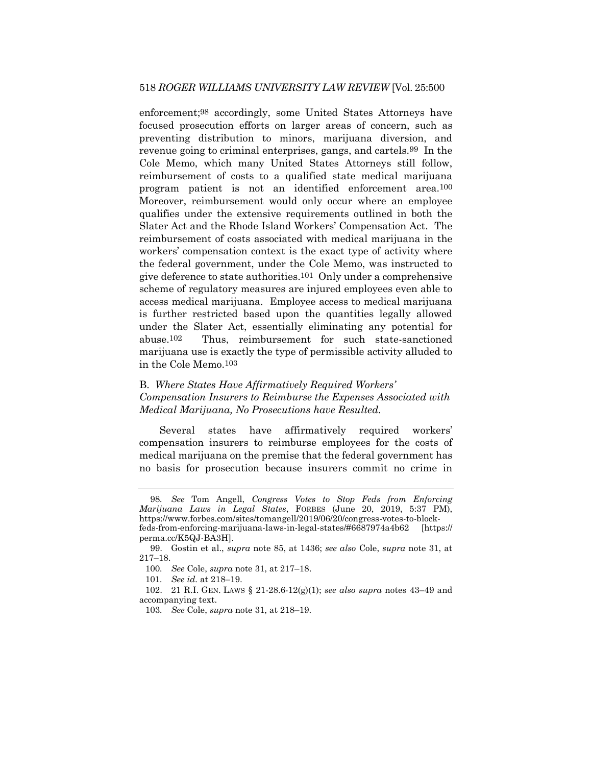enforcement;98 accordingly, some United States Attorneys have focused prosecution efforts on larger areas of concern, such as preventing distribution to minors, marijuana diversion, and revenue going to criminal enterprises, gangs, and cartels.99 In the Cole Memo, which many United States Attorneys still follow, reimbursement of costs to a qualified state medical marijuana program patient is not an identified enforcement area.100 Moreover, reimbursement would only occur where an employee qualifies under the extensive requirements outlined in both the Slater Act and the Rhode Island Workers' Compensation Act. The reimbursement of costs associated with medical marijuana in the workers' compensation context is the exact type of activity where the federal government, under the Cole Memo, was instructed to give deference to state authorities.101 Only under a comprehensive scheme of regulatory measures are injured employees even able to access medical marijuana. Employee access to medical marijuana is further restricted based upon the quantities legally allowed under the Slater Act, essentially eliminating any potential for abuse.102 Thus, reimbursement for such state-sanctioned marijuana use is exactly the type of permissible activity alluded to in the Cole Memo.103

### B. *Where States Have Affirmatively Required Workers' Compensation Insurers to Reimburse the Expenses Associated with Medical Marijuana, No Prosecutions have Resulted.*

Several states have affirmatively required workers' compensation insurers to reimburse employees for the costs of medical marijuana on the premise that the federal government has no basis for prosecution because insurers commit no crime in

<sup>98</sup>*. See* Tom Angell, *Congress Votes to Stop Feds from Enforcing Marijuana Laws in Legal States*, FORBES (June 20, 2019, 5:37 PM), https://www.forbes.com/sites/tomangell/2019/06/20/congress-votes-to-blockfeds-from-enforcing-marijuana-laws-in-legal-states/#6687974a4b62 [https:// perma.cc/K5QJ-BA3H].

<sup>99.</sup> Gostin et al., *supra* note 85, at 1436; *see also* Cole, *supra* note 31, at 217–18.

<sup>100</sup>*. See* Cole, *supra* note 31, at 217–18.

<sup>101</sup>*. See id.* at 218–19.

<sup>102.</sup> 21 R.I. GEN. LAWS § 21-28.6-12(g)(1); *see also supra* notes [43](#page-9-0)–[49](#page-10-0) and accompanying text.

<sup>103</sup>*. See* Cole, *supra* note 31, at 218–19.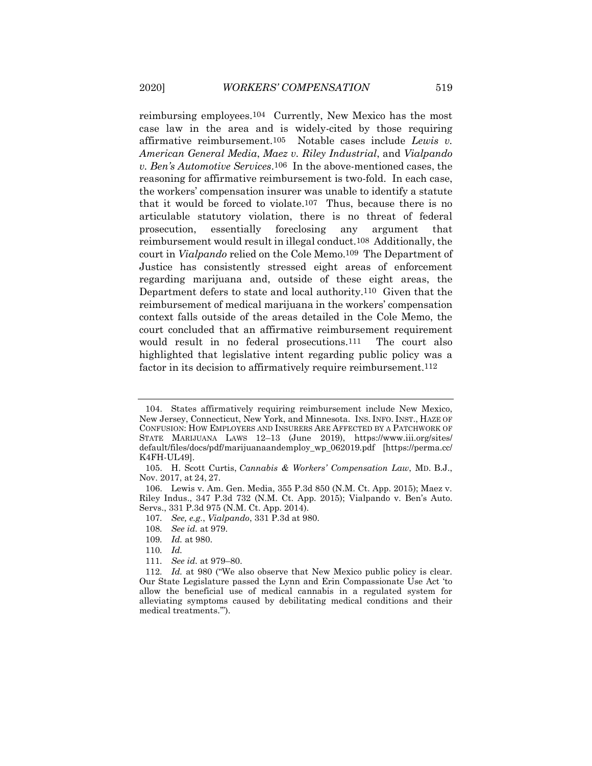reimbursing employees.104 Currently, New Mexico has the most case law in the area and is widely-cited by those requiring affirmative reimbursement.105 Notable cases include *Lewis v. American General Media*, *Maez v. Riley Industrial*, and *Vialpando v. Ben's Automotive Services*.106 In the above-mentioned cases, the reasoning for affirmative reimbursement is two-fold. In each case, the workers' compensation insurer was unable to identify a statute that it would be forced to violate.107 Thus, because there is no articulable statutory violation, there is no threat of federal prosecution, essentially foreclosing any argument that reimbursement would result in illegal conduct.108 Additionally, the court in *Vialpando* relied on the Cole Memo.109 The Department of Justice has consistently stressed eight areas of enforcement regarding marijuana and, outside of these eight areas, the Department defers to state and local authority.110 Given that the reimbursement of medical marijuana in the workers' compensation context falls outside of the areas detailed in the Cole Memo, the court concluded that an affirmative reimbursement requirement would result in no federal prosecutions.<sup>111</sup> The court also highlighted that legislative intent regarding public policy was a factor in its decision to affirmatively require reimbursement.<sup>112</sup>

<sup>104.</sup> States affirmatively requiring reimbursement include New Mexico, New Jersey, Connecticut, New York, and Minnesota. INS. INFO. INST., HAZE OF CONFUSION: HOW EMPLOYERS AND INSURERS ARE AFFECTED BY A PATCHWORK OF STATE MARIJUANA LAWS 12–13 (June 2019), https://www.iii.org/sites/ default/files/docs/pdf/marijuanaandemploy\_wp\_062019.pdf [https://perma.cc/ K4FH-UL49].

<sup>105.</sup> H. Scott Curtis, *Cannabis & Workers' Compensation Law*, MD. B.J., Nov. 2017, at 24, 27.

<sup>106.</sup> Lewis v. Am. Gen. Media, 355 P.3d 850 (N.M. Ct. App. 2015); Maez v. Riley Indus., 347 P.3d 732 (N.M. Ct. App. 2015); Vialpando v. Ben's Auto. Servs., 331 P.3d 975 (N.M. Ct. App. 2014).

<sup>107</sup>*. See, e.g.*, *Vialpando*, 331 P.3d at 980.

<sup>108</sup>*. See id.* at 979.

<sup>109</sup>*. Id.* at 980.

<sup>110</sup>*. Id.*

<sup>111</sup>*. See id.* at 979–80.

<sup>112</sup>*. Id.* at 980 ("We also observe that New Mexico public policy is clear. Our State Legislature passed the Lynn and Erin Compassionate Use Act 'to allow the beneficial use of medical cannabis in a regulated system for alleviating symptoms caused by debilitating medical conditions and their medical treatments.'").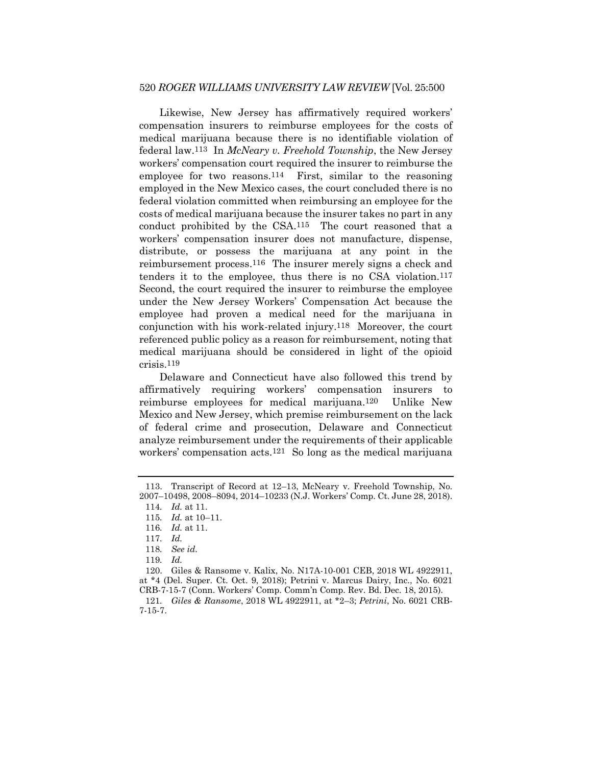Likewise, New Jersey has affirmatively required workers' compensation insurers to reimburse employees for the costs of medical marijuana because there is no identifiable violation of federal law.113 In *McNeary v. Freehold Township*, the New Jersey workers' compensation court required the insurer to reimburse the employee for two reasons.114 First, similar to the reasoning employed in the New Mexico cases, the court concluded there is no federal violation committed when reimbursing an employee for the costs of medical marijuana because the insurer takes no part in any conduct prohibited by the CSA.115 The court reasoned that a workers' compensation insurer does not manufacture, dispense, distribute, or possess the marijuana at any point in the reimbursement process.116 The insurer merely signs a check and tenders it to the employee, thus there is no CSA violation.117 Second, the court required the insurer to reimburse the employee under the New Jersey Workers' Compensation Act because the employee had proven a medical need for the marijuana in conjunction with his work-related injury.118 Moreover, the court referenced public policy as a reason for reimbursement, noting that medical marijuana should be considered in light of the opioid crisis.119

Delaware and Connecticut have also followed this trend by affirmatively requiring workers' compensation insurers to reimburse employees for medical marijuana.120 Unlike New Mexico and New Jersey, which premise reimbursement on the lack of federal crime and prosecution, Delaware and Connecticut analyze reimbursement under the requirements of their applicable workers' compensation acts.121 So long as the medical marijuana

<sup>113.</sup> Transcript of Record at 12–13, McNeary v. Freehold Township, No. 2007–10498, 2008–8094, 2014–10233 (N.J. Workers' Comp. Ct. June 28, 2018).

<sup>114</sup>*. Id.* at 11.

<sup>115</sup>*. Id.* at 10–11.

<sup>116</sup>*. Id.* at 11.

<sup>117</sup>*. Id.*

<sup>118</sup>*. See id.*

<sup>119</sup>*. Id.*

<sup>120.</sup> Giles & Ransome v. Kalix, No. N17A-10-001 CEB, 2018 WL 4922911, at \*4 (Del. Super. Ct. Oct. 9, 2018); Petrini v. Marcus Dairy, Inc., No. 6021 CRB-7-15-7 (Conn. Workers' Comp. Comm'n Comp. Rev. Bd. Dec. 18, 2015).

<sup>121</sup>*. Giles & Ransome*, 2018 WL 4922911, at \*2–3; *Petrini*, No. 6021 CRB-7-15-7.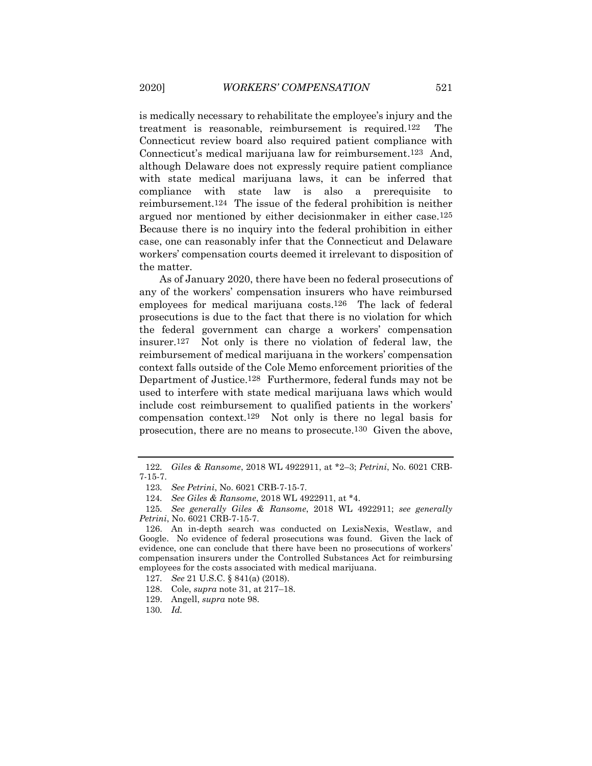is medically necessary to rehabilitate the employee's injury and the treatment is reasonable, reimbursement is required.122 The Connecticut review board also required patient compliance with Connecticut's medical marijuana law for reimbursement.123 And, although Delaware does not expressly require patient compliance with state medical marijuana laws, it can be inferred that compliance with state law is also a prerequisite to reimbursement.124 The issue of the federal prohibition is neither argued nor mentioned by either decisionmaker in either case.125 Because there is no inquiry into the federal prohibition in either case, one can reasonably infer that the Connecticut and Delaware workers' compensation courts deemed it irrelevant to disposition of the matter.

As of January 2020, there have been no federal prosecutions of any of the workers' compensation insurers who have reimbursed employees for medical marijuana costs.126 The lack of federal prosecutions is due to the fact that there is no violation for which the federal government can charge a workers' compensation insurer.127 Not only is there no violation of federal law, the reimbursement of medical marijuana in the workers' compensation context falls outside of the Cole Memo enforcement priorities of the Department of Justice.128 Furthermore, federal funds may not be used to interfere with state medical marijuana laws which would include cost reimbursement to qualified patients in the workers' compensation context.129 Not only is there no legal basis for prosecution, there are no means to prosecute.130 Given the above,

<sup>122</sup>*. Giles & Ransome*, 2018 WL 4922911, at \*2–3; *Petrini*, No. 6021 CRB-7-15-7.

<sup>123</sup>*. See Petrini*, No. 6021 CRB-7-15-7.

<sup>124</sup>*. See Giles & Ransome*, 2018 WL 4922911, at \*4.

<sup>125</sup>*. See generally Giles & Ransome*, 2018 WL 4922911; *see generally Petrini*, No. 6021 CRB-7-15-7.

<sup>126.</sup> An in-depth search was conducted on LexisNexis, Westlaw, and Google. No evidence of federal prosecutions was found. Given the lack of evidence, one can conclude that there have been no prosecutions of workers' compensation insurers under the Controlled Substances Act for reimbursing employees for the costs associated with medical marijuana.

<sup>127</sup>*. See* 21 U.S.C. § 841(a) (2018).

<sup>128.</sup> Cole, *supra* note 31, at 217–18.

<sup>129.</sup> Angell, *supra* note 98.

<sup>130</sup>*. Id.*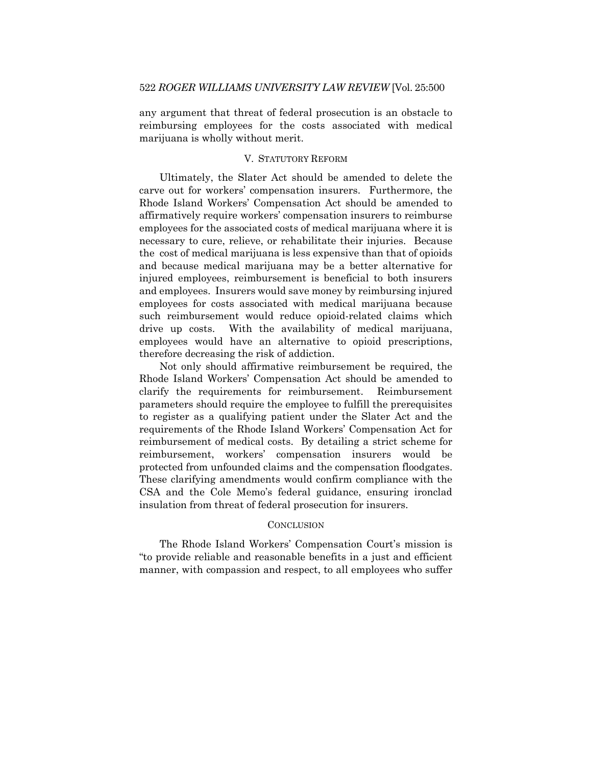any argument that threat of federal prosecution is an obstacle to reimbursing employees for the costs associated with medical marijuana is wholly without merit.

#### V. STATUTORY REFORM

Ultimately, the Slater Act should be amended to delete the carve out for workers' compensation insurers. Furthermore, the Rhode Island Workers' Compensation Act should be amended to affirmatively require workers' compensation insurers to reimburse employees for the associated costs of medical marijuana where it is necessary to cure, relieve, or rehabilitate their injuries. Because the cost of medical marijuana is less expensive than that of opioids and because medical marijuana may be a better alternative for injured employees, reimbursement is beneficial to both insurers and employees. Insurers would save money by reimbursing injured employees for costs associated with medical marijuana because such reimbursement would reduce opioid-related claims which drive up costs. With the availability of medical marijuana, employees would have an alternative to opioid prescriptions, therefore decreasing the risk of addiction.

Not only should affirmative reimbursement be required, the Rhode Island Workers' Compensation Act should be amended to clarify the requirements for reimbursement. Reimbursement parameters should require the employee to fulfill the prerequisites to register as a qualifying patient under the Slater Act and the requirements of the Rhode Island Workers' Compensation Act for reimbursement of medical costs. By detailing a strict scheme for reimbursement, workers' compensation insurers would be protected from unfounded claims and the compensation floodgates. These clarifying amendments would confirm compliance with the CSA and the Cole Memo's federal guidance, ensuring ironclad insulation from threat of federal prosecution for insurers.

#### **CONCLUSION**

The Rhode Island Workers' Compensation Court's mission is "to provide reliable and reasonable benefits in a just and efficient manner, with compassion and respect, to all employees who suffer